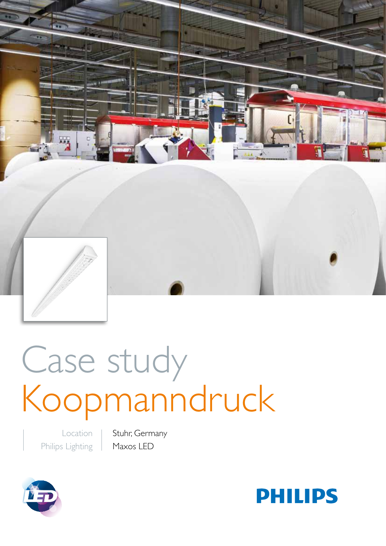

# Case study Koopmanndruck

Location Philips Lighting Stuhr, Germany Maxos LED



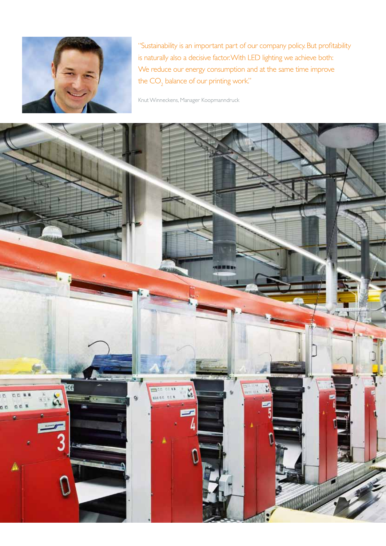

"Sustainability is an important part of our company policy. But profitability is naturally also a decisive factor. With LED lighting we achieve both: We reduce our energy consumption and at the same time improve the  $\mathsf{CO}_2^{\phantom{\dagger}}$  balance of our printing work."

Knut Winneckens, Manager Koopmanndruck

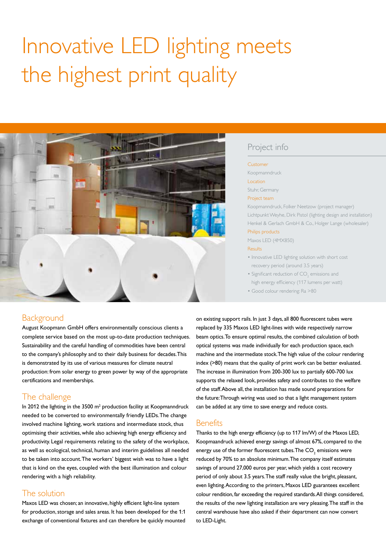# Innovative LED lighting meets the highest print quality



## Project info

#### Customer

Koopmanndruck

Location

Stuhr, Germany

#### Project team

Koopmanndruck, Folker Neetzow (project manager) Lichtpunkt Weyhe, Dirk Pistol (lighting design and installation) Henkel & Gerlach GmbH & Co., Holger Lange (wholesaler)

#### Philips products

Maxos LED (4MX850)

#### Results

- Innovative LED lighting solution with short cost recovery period (around 3.5 years)
- Significant reduction of  $CO_2$  emissions and high energy efficiency (117 lumens per watt)
- Good colour rendering: Ra >80

# Background

August Koopmann GmbH offers environmentally conscious clients a complete service based on the most up-to-date production techniques. Sustainability and the careful handling of commodities have been central to the company's philosophy and to their daily business for decades. This is demonstrated by its use of various measures for climate neutral production: from solar energy to green power by way of the appropriate certifications and memberships.

# The challenge

In 2012 the lighting in the  $3500 \text{ m}^2$  production facility at Koopmanndruck needed to be converted to environmentally friendly LEDs. The change involved machine lighting, work stations and intermediate stock, thus optimising their activities, while also achieving high energy efficiency and productivity. Legal requirements relating to the safety of the workplace, as well as ecological, technical, human and interim guidelines all needed to be taken into account. The workers' biggest wish was to have a light that is kind on the eyes, coupled with the best illumination and colour rendering with a high reliability.

### The solution

Maxos LED was chosen; an innovative, highly efficient light-line system for production, storage and sales areas. It has been developed for the 1:1 exchange of conventional fixtures and can therefore be quickly mounted on existing support rails. In just 3 days, all 800 fluorescent tubes were replaced by 335 Maxos LED light-lines with wide respectively narrow beam optics. To ensure optimal results, the combined calculation of both optical systems was made individually for each production space, each machine and the intermediate stock. The high value of the colour rendering index (>80) means that the quality of print work can be better evaluated. The increase in illumination from 200-300 lux to partially 600-700 lux supports the relaxed look, provides safety and contributes to the welfare of the staff. Above all, the installation has made sound preparations for the future: Through wiring was used so that a light management system can be added at any time to save energy and reduce costs.

#### **Benefits**

Thanks to the high energy efficiency (up to 117 lm/W) of the Maxos LED, Koopmaandruck achieved energy savings of almost 67%, compared to the energy use of the former fluorescent tubes.The  $\mathsf{CO}_2$  emissions were reduced by 70% to an absolute minimum. The company itself estimates savings of around 27,000 euros per year, which yields a cost recovery period of only about 3.5 years. The staff really value the bright, pleasant, even lighting. According to the printers, Maxos LED guarantees excellent colour rendition, far exceeding the required standards. All things considered, the results of the new lighting installation are very pleasing. The staff in the central warehouse have also asked if their department can now convert to LED-Light.